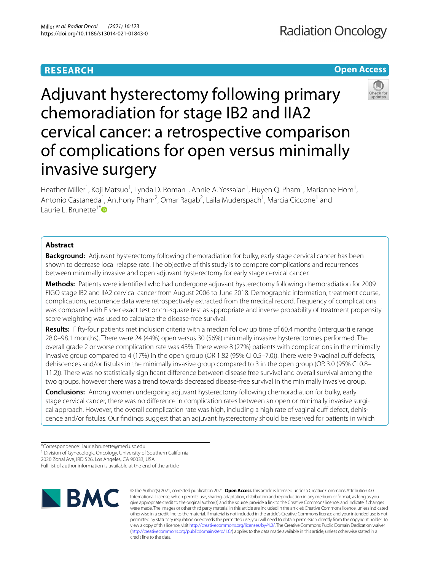# **RESEARCH**

# **Open Access**



Adjuvant hysterectomy following primary chemoradiation for stage IB2 and IIA2 cervical cancer: a retrospective comparison of complications for open versus minimally invasive surgery

Heather Miller<sup>1</sup>, Koji Matsuo<sup>1</sup>, Lynda D. Roman<sup>1</sup>, Annie A. Yessaian<sup>1</sup>, Huyen Q. Pham<sup>1</sup>, Marianne Hom<sup>1</sup>, Antonio Castaneda<sup>1</sup>, Anthony Pham<sup>2</sup>, Omar Ragab<sup>2</sup>, Laila Muderspach<sup>1</sup>, Marcia Ciccone<sup>1</sup> and Laurie L. Brunette<sup>1[\\*](http://orcid.org/0000-0003-1049-764X)</sup><sup>D</sup>

# **Abstract**

**Background:** Adjuvant hysterectomy following chemoradiation for bulky, early stage cervical cancer has been shown to decrease local relapse rate. The objective of this study is to compare complications and recurrences between minimally invasive and open adjuvant hysterectomy for early stage cervical cancer.

**Methods:** Patients were identifed who had undergone adjuvant hysterectomy following chemoradiation for 2009 FIGO stage IB2 and IIA2 cervical cancer from August 2006 to June 2018. Demographic information, treatment course, complications, recurrence data were retrospectively extracted from the medical record. Frequency of complications was compared with Fisher exact test or chi-square test as appropriate and inverse probability of treatment propensity score weighting was used to calculate the disease-free survival.

**Results:** Fifty-four patients met inclusion criteria with a median follow up time of 60.4 months (interquartile range 28.0–98.1 months). There were 24 (44%) open versus 30 (56%) minimally invasive hysterectomies performed. The overall grade 2 or worse complication rate was 43%. There were 8 (27%) patients with complications in the minimally invasive group compared to 4 (17%) in the open group (OR 1.82 (95% CI 0.5–7.0)). There were 9 vaginal cuff defects, dehiscences and/or fstulas in the minimally invasive group compared to 3 in the open group (OR 3.0 (95% CI 0.8– 11.2)). There was no statistically signifcant diference between disease free survival and overall survival among the two groups, however there was a trend towards decreased disease-free survival in the minimally invasive group.

**Conclusions:** Among women undergoing adjuvant hysterectomy following chemoradiation for bulky, early stage cervical cancer, there was no diference in complication rates between an open or minimally invasive surgical approach. However, the overall complication rate was high, including a high rate of vaginal cuff defect, dehiscence and/or fstulas. Our fndings suggest that an adjuvant hysterectomy should be reserved for patients in which

2020 Zonal Ave, IRD 526, Los Angeles, CA 90033, USA

Full list of author information is available at the end of the article



© The Author(s) 2021, corrected publication 2021. **Open Access** This article is licensed under a Creative Commons Attribution 4.0 International License, which permits use, sharing, adaptation, distribution and reproduction in any medium or format, as long as you give appropriate credit to the original author(s) and the source, provide a link to the Creative Commons licence, and indicate if changes were made. The images or other third party material in this article are included in the article's Creative Commons licence, unless indicated otherwise in a credit line to the material. If material is not included in the article's Creative Commons licence and your intended use is not permitted by statutory regulation or exceeds the permitted use, you will need to obtain permission directly from the copyright holder. To view a copy of this licence, visit [http://creativecommons.org/licenses/by/4.0/.](http://creativecommons.org/licenses/by/4.0/) The Creative Commons Public Domain Dedication waiver [\(http://creativecommons.org/publicdomain/zero/1.0/\)](http://creativecommons.org/publicdomain/zero/1.0/) applies to the data made available in this article, unless otherwise stated in a credit line to the data.

<sup>\*</sup>Correspondence: laurie.brunette@med.usc.edu

<sup>&</sup>lt;sup>1</sup> Division of Gynecologic Oncology, University of Southern California,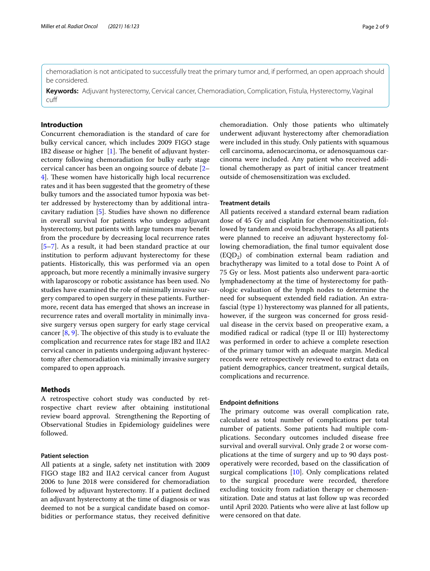chemoradiation is not anticipated to successfully treat the primary tumor and, if performed, an open approach should be considered.

**Keywords:** Adjuvant hysterectomy, Cervical cancer, Chemoradiation, Complication, Fistula, Hysterectomy, Vaginal cuf

# **Introduction**

Concurrent chemoradiation is the standard of care for bulky cervical cancer, which includes 2009 FIGO stage IB2 disease or higher  $[1]$  $[1]$ . The benefit of adjuvant hysterectomy following chemoradiation for bulky early stage cervical cancer has been an ongoing source of debate [[2–](#page-7-1) [4\]](#page-7-2). These women have historically high local recurrence rates and it has been suggested that the geometry of these bulky tumors and the associated tumor hypoxia was better addressed by hysterectomy than by additional intracavitary radiation [\[5](#page-7-3)]. Studies have shown no diference in overall survival for patients who undergo adjuvant hysterectomy, but patients with large tumors may beneft from the procedure by decreasing local recurrence rates [[5–](#page-7-3)[7\]](#page-7-4). As a result, it had been standard practice at our institution to perform adjuvant hysterectomy for these patients. Historically, this was performed via an open approach, but more recently a minimally invasive surgery with laparoscopy or robotic assistance has been used. No studies have examined the role of minimally invasive surgery compared to open surgery in these patients. Furthermore, recent data has emerged that shows an increase in recurrence rates and overall mortality in minimally invasive surgery versus open surgery for early stage cervical cancer  $[8, 9]$  $[8, 9]$  $[8, 9]$ . The objective of this study is to evaluate the complication and recurrence rates for stage IB2 and IIA2 cervical cancer in patients undergoing adjuvant hysterectomy after chemoradiation via minimally invasive surgery compared to open approach.

# **Methods**

A retrospective cohort study was conducted by retrospective chart review after obtaining institutional review board approval. Strengthening the Reporting of Observational Studies in Epidemiology guidelines were followed.

# **Patient selection**

All patients at a single, safety net institution with 2009 FIGO stage IB2 and IIA2 cervical cancer from August 2006 to June 2018 were considered for chemoradiation followed by adjuvant hysterectomy. If a patient declined an adjuvant hysterectomy at the time of diagnosis or was deemed to not be a surgical candidate based on comorbidities or performance status, they received defnitive

chemoradiation. Only those patients who ultimately underwent adjuvant hysterectomy after chemoradiation were included in this study. Only patients with squamous cell carcinoma, adenocarcinoma, or adenosquamous carcinoma were included. Any patient who received additional chemotherapy as part of initial cancer treatment outside of chemosensitization was excluded.

### **Treatment details**

All patients received a standard external beam radiation dose of 45 Gy and cisplatin for chemosensitization, followed by tandem and ovoid brachytherapy. As all patients were planned to receive an adjuvant hysterectomy following chemoradiation, the fnal tumor equivalent dose (EQD2) of combination external beam radiation and brachytherapy was limited to a total dose to Point A of 75 Gy or less. Most patients also underwent para-aortic lymphadenectomy at the time of hysterectomy for pathologic evaluation of the lymph nodes to determine the need for subsequent extended feld radiation. An extrafascial (type 1) hysterectomy was planned for all patients, however, if the surgeon was concerned for gross residual disease in the cervix based on preoperative exam, a modifed radical or radical (type II or III) hysterectomy was performed in order to achieve a complete resection of the primary tumor with an adequate margin. Medical records were retrospectively reviewed to extract data on patient demographics, cancer treatment, surgical details, complications and recurrence.

### **Endpoint defnitions**

The primary outcome was overall complication rate, calculated as total number of complications per total number of patients. Some patients had multiple complications. Secondary outcomes included disease free survival and overall survival. Only grade 2 or worse complications at the time of surgery and up to 90 days postoperatively were recorded, based on the classifcation of surgical complications [\[10](#page-7-7)]. Only complications related to the surgical procedure were recorded, therefore excluding toxicity from radiation therapy or chemosensitization. Date and status at last follow up was recorded until April 2020. Patients who were alive at last follow up were censored on that date.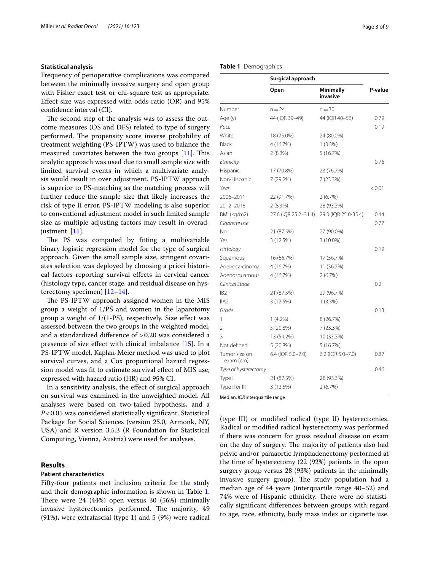## **Statistical analysis**

Frequency of perioperative complications was compared between the minimally invasive surgery and open group with Fisher exact test or chi-square test as appropriate. Efect size was expressed with odds ratio (OR) and 95% confdence interval (CI).

The second step of the analysis was to assess the outcome measures (OS and DFS) related to type of surgery performed. The propensity score inverse probability of treatment weighting (PS-IPTW) was used to balance the measured covariates between the two groups  $[11]$ . This analytic approach was used due to small sample size with limited survival events in which a multivariate analysis would result in over adjustment. PS-IPTW approach is superior to PS-matching as the matching process will further reduce the sample size that likely increases the risk of type II error. PS-IPTW modeling is also superior to conventional adjustment model in such limited sample size as multiple adjusting factors may result in overad-justment. [[11\]](#page-7-8).

The PS was computed by fitting a multivariable binary logistic regression model for the type of surgical approach. Given the small sample size, stringent covariates selection was deployed by choosing a priori historical factors reporting survival efects in cervical cancer (histology type, cancer stage, and residual disease on hysterectomy specimen) [\[12–](#page-8-0)[14\]](#page-8-1).

The PS-IPTW approach assigned women in the MIS group a weight of 1/PS and women in the laparotomy group a weight of  $1/(1$ -PS), respectively. Size effect was assessed between the two groups in the weighted model, and a standardized diference of >0.20 was considered a presence of size efect with clinical imbalance [\[15](#page-8-2)]. In a PS-IPTW model, Kaplan-Meier method was used to plot survival curves, and a Cox proportional hazard regression model was ft to estimate survival efect of MIS use, expressed with hazard ratio (HR) and 95% CI.

In a sensitivity analysis, the efect of surgical approach on survival was examined in the unweighted model. All analyses were based on two-tailed hypothesis, and a *P*<0.05 was considered statistically signifcant. Statistical Package for Social Sciences (version 25.0, Armonk, NY, USA) and R version 3.5.3 (R Foundation for Statistical Computing, Vienna, Austria) were used for analyses.

# **Results**

### **Patient characteristics**

Fifty-four patients met inclusion criteria for the study and their demographic information is shown in Table [1](#page-2-0). There were  $24$  (44%) open versus  $30$  (56%) minimally invasive hysterectomies performed. The majority, 49 (91%), were extrafascial (type 1) and 5 (9%) were radical

# <span id="page-2-0"></span>**Table 1** Demographics

|                            | Surgical approach    |                              |         |  |
|----------------------------|----------------------|------------------------------|---------|--|
|                            | Open                 | <b>Minimally</b><br>invasive | P-value |  |
| Number                     | $n = 24$             | $n = 30$                     |         |  |
| Age (y)                    | 44 (IQR 39-49)       | 44 (IQR 40-56)               | 0.79    |  |
| Race                       |                      |                              | 0.19    |  |
| White                      | 18 (75.0%)           | 24 (80.0%)                   |         |  |
| Black                      | 4 (16.7%)            | $1(3.3\%)$                   |         |  |
| Asian                      | 2(8.3%)              | 5(16.7%)                     |         |  |
| Ethnicity                  |                      |                              | 0.76    |  |
| Hispanic                   | 17 (70.8%)           | 23 (76.7%)                   |         |  |
| Non-Hispanic               | 7 (29.2%)            | 7 (23.3%)                    |         |  |
| Year                       |                      |                              | < 0.01  |  |
| 2006-2011                  | 22 (91.7%)           | 2(6.7%)                      |         |  |
| 2012-2018                  | 2(8.3%)              | 28 (93.3%)                   |         |  |
| BMI (kg/m2)                | 27.6 (IQR 25.2-31.4) | 29.3 (IQR 25.0-35.4)         | 0.44    |  |
| Cigarette use              |                      |                              | 0.77    |  |
| No                         | 21 (87.5%)           | 27 (90.0%)                   |         |  |
| Yes                        | 3 (12.5%)            | 3 (10.0%)                    |         |  |
| Histology                  |                      |                              | 0.19    |  |
| Squamous                   | 16 (66.7%)           | 17 (56.7%)                   |         |  |
| Adenocarcinoma             | 4 (16.7%)            | 11 (36.7%)                   |         |  |
| Adenosquamous              | 4 (16.7%)            | 2(6.7%)                      |         |  |
| Clinical Stage             |                      |                              | 0.2     |  |
| IB <sub>2</sub>            | 21 (87.5%)           | 29 (96.7%)                   |         |  |
| IIA2                       | 3 (12.5%)            | 1(3.3%)                      |         |  |
| Grade                      |                      |                              | 0.13    |  |
| 1                          | $1(4.2\%)$           | 8 (26.7%)                    |         |  |
| $\overline{2}$             | 5 (20.8%)            | 7 (23.3%)                    |         |  |
| 3                          | 13 (54.2%)           | 10 (33.3%)                   |         |  |
| Not defined                | 5 (20.8%)            | 5(16.7%)                     |         |  |
| Tumor size on<br>exam (cm) | 6.4 (IQR 5.0-7.0)    | 6.2 (IQR 5.0-7.0)            | 0.87    |  |
| Type of hysterectomy       |                      |                              | 0.46    |  |
| Type I                     | 21 (87.5%)           | 28 (93.3%)                   |         |  |
| Type II or III             | 3 (12.5%)            | 2(6.7%)                      |         |  |

Median, *IQR*interquartile range

(type III) or modifed radical (type II) hysterectomies. Radical or modifed radical hysterectomy was performed if there was concern for gross residual disease on exam on the day of surgery. The majority of patients also had pelvic and/or paraaortic lymphadenectomy performed at the time of hysterectomy (22 (92%) patients in the open surgery group versus 28 (93%) patients in the minimally invasive surgery group). The study population had a median age of 44 years (interquartile range 40–52) and 74% were of Hispanic ethnicity. There were no statistically signifcant diferences between groups with regard to age, race, ethnicity, body mass index or cigarette use.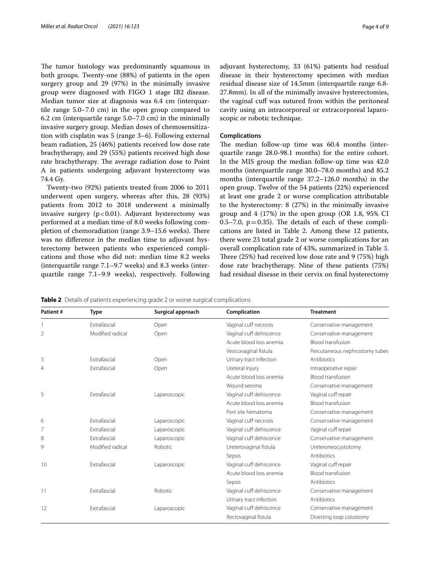The tumor histology was predominantly squamous in both groups. Twenty-one (88%) of patients in the open surgery group and 29 (97%) in the minimally invasive group were diagnosed with FIGO 1 stage IB2 disease. Median tumor size at diagnosis was 6.4 cm (interquartile range 5.0–7.0 cm) in the open group compared to 6.2 cm (interquartile range 5.0–7.0 cm) in the minimally invasive surgery group. Median doses of chemosensitization with cisplatin was 5 (range 3–6). Following external beam radiation, 25 (46%) patients received low dose rate brachytherapy, and 29 (55%) patients received high dose rate brachytherapy. The average radiation dose to Point A in patients undergoing adjuvant hysterectomy was 74.4 Gy.

Twenty-two (92%) patients treated from 2006 to 2011 underwent open surgery, whereas after this, 28 (93%) patients from 2012 to 2018 underwent a minimally invasive surgery  $(p < 0.01)$ . Adjuvant hysterectomy was performed at a median time of 8.0 weeks following completion of chemoradiation (range 3.9–15.6 weeks). There was no diference in the median time to adjuvant hysterectomy between patients who experienced complications and those who did not: median time 8.2 weeks (interquartile range 7.1–9.7 weeks) and 8.3 weeks (interquartile range 7.1–9.9 weeks), respectively. Following adjuvant hysterectomy, 33 (61%) patients had residual disease in their hysterectomy specimen with median residual disease size of 14.5mm (interquartile range 6.8- 27.8mm). In all of the minimally invasive hysterectomies, the vaginal cuff was sutured from within the peritoneal cavity using an intracorporeal or extracorporeal laparoscopic or robotic technique.

### **Complications**

The median follow-up time was 60.4 months (interquartile range 28.0-98.1 months) for the entire cohort. In the MIS group the median follow-up time was 42.0 months (interquartile range 30.0–78.0 months) and 85.2 months (interquartile range 37.2–126.0 months) in the open group. Twelve of the 54 patients (22%) experienced at least one grade 2 or worse complication attributable to the hysterectomy: 8 (27%) in the minimally invasive group and 4 (17%) in the open group (OR 1.8, 95% CI 0.5–7.0,  $p=0.35$ ). The details of each of these complications are listed in Table [2.](#page-3-0) Among these 12 patients, there were 23 total grade 2 or worse complications for an overall complication rate of 43%, summarized in Table [3](#page-4-0). Three  $(25%)$  had received low dose rate and 9 (75%) high dose rate brachytherapy. Nine of these patients (75%) had residual disease in their cervix on fnal hysterectomy

<span id="page-3-0"></span>**Table 2** Details of patients experiencing grade 2 or worse surgical complications

|                  | Surgical approach | Complication            | <b>Treatment</b>               |
|------------------|-------------------|-------------------------|--------------------------------|
| Extrafascial     | Open              | Vaginal cuff necrosis   | Conservative management        |
| Modified radical | Open              | Vaginal cuff dehiscence | Conservative management        |
|                  |                   | Acute blood loss anemia | <b>Blood transfusion</b>       |
|                  |                   | Vesicovaginal fistula   | Percutaneous nephrostomy tubes |
| Extrafascial     | Open              | Urinary tract infection | Antibiotics                    |
| Extrafascial     | Open              | Ureteral injury         | Intraoperative repair          |
|                  |                   | Acute blood loss anemia | Blood transfusion              |
|                  |                   | Wound seroma            | Conservative management        |
| Extrafascial     | Laparoscopic      | Vaginal cuff dehiscence | Vaginal cuff repair            |
|                  |                   | Acute blood loss anemia | <b>Blood transfusion</b>       |
|                  |                   | Port site hematoma      | Conservative management        |
| Extrafascial     | Laparoscopic      | Vaginal cuff necrosis   | Conservative management        |
| Extrafascial     | Laparoscopic      | Vaginal cuff dehiscence | Vaginal cuff repair            |
| Extrafascial     | Laparoscopic      | Vaginal cuff dehiscence | Conservative management        |
| Modified radical | Robotic           | Ureterovaginal fistula  | Ureteroneocystotomy            |
|                  |                   | Sepsis                  | Antibiotics                    |
| Extrafascial     | Laparoscopic      | Vaginal cuff dehiscence | Vaginal cuff repair            |
|                  |                   | Acute blood loss anemia | <b>Blood transfusion</b>       |
|                  |                   | Sepsis                  | Antibiotics                    |
| Extrafascial     | Robotic           | Vaginal cuff dehiscence | Conservative management        |
|                  |                   | Urinary tract infection | <b>Antibiotics</b>             |
| Extrafascial     | Laparoscopic      | Vaginal cuff dehiscence | Conservative management        |
|                  |                   | Rectovaginal fistula    | Diverting loop colostomy       |
|                  | Type              |                         |                                |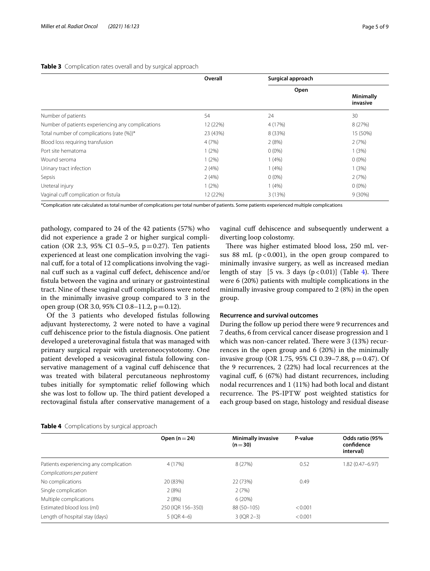|                                                   | Overall  | Surgical approach |                              |
|---------------------------------------------------|----------|-------------------|------------------------------|
|                                                   |          | Open              | <b>Minimally</b><br>invasive |
| Number of patients                                | 54       | 24                | 30                           |
| Number of patients experiencing any complications | 12 (22%) | 4 (17%)           | 8 (27%)                      |
| Total number of complications (rate (%))*         | 23 (43%) | 8 (33%)           | 15 (50%)                     |
| Blood loss requiring transfusion                  | 4(7%)    | 2(8%)             | 2(7%)                        |
| Port site hematoma                                | $1(2\%)$ | $0(0\%)$          | 1(3%)                        |
| Wound seroma                                      | $1(2\%)$ | 1(4%)             | $0(0\%)$                     |
| Urinary tract infection                           | 2(4%)    | 1(4%)             | 1(3%)                        |
| Sepsis                                            | 2(4%)    | $0(0\%)$          | 2(7%)                        |
| Ureteral injury                                   | $1(2\%)$ | 1(4%)             | $0(0\%)$                     |
| Vaginal cuff complication or fistula              | 12 (22%) | 3(13%)            | $9(30\%)$                    |

### <span id="page-4-0"></span>**Table 3** Complication rates overall and by surgical approach

\*Complication rate calculated as total number of complications per total number of patients. Some patients experienced multiple complications

pathology, compared to 24 of the 42 patients (57%) who did not experience a grade 2 or higher surgical complication (OR 2.3, 95% CI 0.5–9.5,  $p=0.27$ ). Ten patients experienced at least one complication involving the vaginal cuf, for a total of 12 complications involving the vaginal cuff such as a vaginal cuff defect, dehiscence and/or fstula between the vagina and urinary or gastrointestinal tract. Nine of these vaginal cuf complications were noted in the minimally invasive group compared to 3 in the open group (OR 3.0, 95% CI 0.8–11.2, p=0.12).

Of the 3 patients who developed fstulas following adjuvant hysterectomy, 2 were noted to have a vaginal cuf dehiscence prior to the fstula diagnosis. One patient developed a ureterovaginal fstula that was managed with primary surgical repair with ureteroneocystotomy. One patient developed a vesicovaginal fstula following conservative management of a vaginal cuf dehiscence that was treated with bilateral percutaneous nephrostomy tubes initially for symptomatic relief following which she was lost to follow up. The third patient developed a rectovaginal fstula after conservative management of a vaginal cuff dehiscence and subsequently underwent a diverting loop colostomy.

There was higher estimated blood loss, 250 mL versus 88 mL ( $p < 0.001$ ), in the open group compared to minimally invasive surgery, as well as increased median length of stay  $[5 \text{ vs. } 3 \text{ days } (p<0.01)]$  (Table [4\)](#page-4-1). There were 6 (20%) patients with multiple complications in the minimally invasive group compared to 2 (8%) in the open group.

### **Recurrence and survival outcomes**

During the follow up period there were 9 recurrences and 7 deaths, 6 from cervical cancer disease progression and 1 which was non-cancer related. There were 3 (13%) recurrences in the open group and 6 (20%) in the minimally invasive group (OR 1.75, 95% CI 0.39–7.88,  $p = 0.47$ ). Of the 9 recurrences, 2 (22%) had local recurrences at the vaginal cuf, 6 (67%) had distant recurrences, including nodal recurrences and 1 (11%) had both local and distant recurrence. The PS-IPTW post weighted statistics for each group based on stage, histology and residual disease

|                                        | Open $(n=24)$     | <b>Minimally invasive</b><br>$(n=30)$ | P-value | Odds ratio (95%<br>confidence<br>interval) |
|----------------------------------------|-------------------|---------------------------------------|---------|--------------------------------------------|
| Patients experiencing any complication | 4 (17%)           | 8 (27%)                               | 0.52    | 1.82 (0.47-6.97)                           |
| Complications per patient              |                   |                                       |         |                                            |
| No complications                       | 20 (83%)          | 22 (73%)                              | 0.49    |                                            |
| Single complication                    | 2(8%)             | 2(7%)                                 |         |                                            |
| Multiple complications                 | 2(8%)             | 6(20%)                                |         |                                            |
| Estimated blood loss (ml)              | 250 (IQR 156-350) | 88 (50-105)                           | < 0.001 |                                            |
| Length of hospital stay (days)         | $5$ (IOR 4-6)     | $3$ (IQR 2-3)                         | < 0.001 |                                            |

<span id="page-4-1"></span>

|  | Table 4 Complications by surgical approach |  |  |
|--|--------------------------------------------|--|--|
|--|--------------------------------------------|--|--|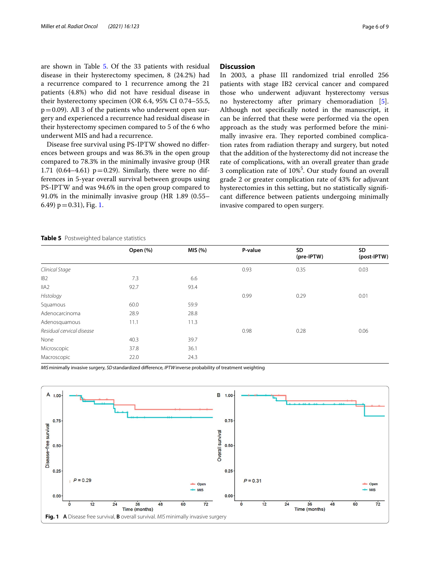are shown in Table [5](#page-5-0). Of the 33 patients with residual disease in their hysterectomy specimen, 8 (24.2%) had a recurrence compared to 1 recurrence among the 21 patients (4.8%) who did not have residual disease in their hysterectomy specimen (OR 6.4, 95% CI 0.74–55.5,  $p=0.09$ ). All 3 of the patients who underwent open surgery and experienced a recurrence had residual disease in their hysterectomy specimen compared to 5 of the 6 who underwent MIS and had a recurrence.

Disease free survival using PS-IPTW showed no diferences between groups and was 86.3% in the open group compared to 78.3% in the minimally invasive group (HR 1.71 (0.64–4.61)  $p=0.29$ ). Similarly, there were no differences in 5-year overall survival between groups using PS-IPTW and was 94.6% in the open group compared to 91.0% in the minimally invasive group (HR 1.89 (0.55– 6.49)  $p = 0.31$ ), Fig. [1](#page-5-1).

# **Discussion**

In 2003, a phase III randomized trial enrolled 256 patients with stage IB2 cervical cancer and compared those who underwent adjuvant hysterectomy versus no hysterectomy after primary chemoradiation [\[5](#page-7-3)]. Although not specifcally noted in the manuscript, it can be inferred that these were performed via the open approach as the study was performed before the minimally invasive era. They reported combined complication rates from radiation therapy and surgery, but noted that the addition of the hysterectomy did not increase the rate of complications, with an overall greater than grade 3 complication rate of 10%<sup>5</sup>. Our study found an overall grade 2 or greater complication rate of 43% for adjuvant hysterectomies in this setting, but no statistically signifcant diference between patients undergoing minimally invasive compared to open surgery.

### <span id="page-5-0"></span>**Table 5** Postweighted balance statistics

| Open (%) | MIS (%) | P-value | SD<br>(pre-IPTW) | SD<br>(post-IPTW) |  |
|----------|---------|---------|------------------|-------------------|--|
|          |         | 0.93    | 0.35             | 0.03              |  |
| 7.3      | 6.6     |         |                  |                   |  |
| 92.7     | 93.4    |         |                  |                   |  |
|          |         | 0.99    | 0.29             | 0.01              |  |
| 60.0     | 59.9    |         |                  |                   |  |
| 28.9     | 28.8    |         |                  |                   |  |
| 11.1     | 11.3    |         |                  |                   |  |
|          |         | 0.98    | 0.28             | 0.06              |  |
| 40.3     | 39.7    |         |                  |                   |  |
| 37.8     | 36.1    |         |                  |                   |  |
| 22.0     | 24.3    |         |                  |                   |  |
|          |         |         |                  |                   |  |

*MIS*minimally invasive surgery, *SD*standardized diference, *IPTW*inverse probability of treatment weighting

<span id="page-5-1"></span>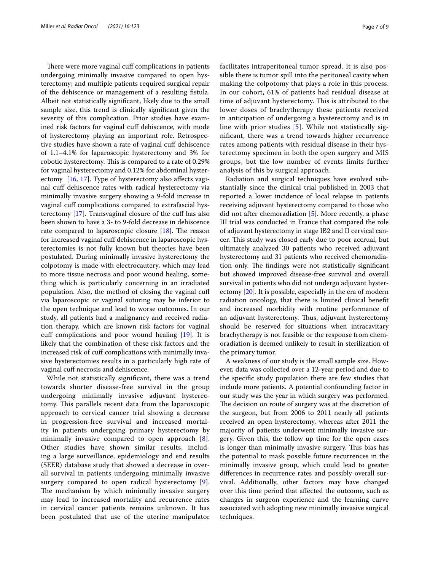There were more vaginal cuff complications in patients undergoing minimally invasive compared to open hysterectomy; and multiple patients required surgical repair of the dehiscence or management of a resulting fstula. Albeit not statistically signifcant, likely due to the small sample size, this trend is clinically signifcant given the severity of this complication. Prior studies have examined risk factors for vaginal cuf dehiscence, with mode of hysterectomy playing an important role. Retrospective studies have shown a rate of vaginal cuf dehiscence of 1.1–4.1% for laparoscopic hysterectomy and 3% for robotic hysterectomy. This is compared to a rate of 0.29% for vaginal hysterectomy and 0.12% for abdominal hyster-ectomy [[16,](#page-8-3) [17\]](#page-8-4). Type of hysterectomy also affects vaginal cuf dehiscence rates with radical hysterectomy via minimally invasive surgery showing a 9-fold increase in vaginal cuff complications compared to extrafascial hysterectomy [\[17](#page-8-4)]. Transvaginal closure of the cuf has also been shown to have a 3- to 9-fold decrease in dehiscence rate compared to laparoscopic closure  $[18]$  $[18]$ . The reason for increased vaginal cuff dehiscence in laparoscopic hysterectomies is not fully known but theories have been postulated. During minimally invasive hysterectomy the colpotomy is made with electrocautery, which may lead to more tissue necrosis and poor wound healing, something which is particularly concerning in an irradiated population. Also, the method of closing the vaginal cuf via laparoscopic or vaginal suturing may be inferior to the open technique and lead to worse outcomes. In our study, all patients had a malignancy and received radiation therapy, which are known risk factors for vaginal cuff complications and poor wound healing [\[19](#page-8-6)]. It is likely that the combination of these risk factors and the increased risk of cuff complications with minimally invasive hysterectomies results in a particularly high rate of vaginal cuff necrosis and dehiscence.

While not statistically signifcant, there was a trend towards shorter disease-free survival in the group undergoing minimally invasive adjuvant hysterectomy. This parallels recent data from the laparoscopic approach to cervical cancer trial showing a decrease in progression-free survival and increased mortality in patients undergoing primary hysterectomy by minimally invasive compared to open approach [[8\]](#page-7-5). Other studies have shown similar results, including a large surveillance, epidemiology and end results (SEER) database study that showed a decrease in overall survival in patients undergoing minimally invasive surgery compared to open radical hysterectomy [[9\]](#page-7-6). The mechanism by which minimally invasive surgery may lead to increased mortality and recurrence rates in cervical cancer patients remains unknown. It has been postulated that use of the uterine manipulator facilitates intraperitoneal tumor spread. It is also possible there is tumor spill into the peritoneal cavity when making the colpotomy that plays a role in this process. In our cohort, 61% of patients had residual disease at time of adjuvant hysterectomy. This is attributed to the lower doses of brachytherapy these patients received in anticipation of undergoing a hysterectomy and is in line with prior studies [\[5](#page-7-3)]. While not statistically signifcant, there was a trend towards higher recurrence rates among patients with residual disease in their hysterectomy specimen in both the open surgery and MIS groups, but the low number of events limits further analysis of this by surgical approach.

Radiation and surgical techniques have evolved substantially since the clinical trial published in 2003 that reported a lower incidence of local relapse in patients receiving adjuvant hysterectomy compared to those who did not after chemoradiation [[5\]](#page-7-3). More recently, a phase III trial was conducted in France that compared the role of adjuvant hysterectomy in stage IB2 and II cervical cancer. This study was closed early due to poor accrual, but ultimately analyzed 30 patients who received adjuvant hysterectomy and 31 patients who received chemoradiation only. The findings were not statistically significant but showed improved disease-free survival and overall survival in patients who did not undergo adjuvant hysterectomy [\[20](#page-8-7)]. It is possible, especially in the era of modern radiation oncology, that there is limited clinical beneft and increased morbidity with routine performance of an adjuvant hysterectomy. Thus, adjuvant hysterectomy should be reserved for situations when intracavitary brachytherapy is not feasible or the response from chemoradiation is deemed unlikely to result in sterilization of the primary tumor.

A weakness of our study is the small sample size. However, data was collected over a 12-year period and due to the specifc study population there are few studies that include more patients. A potential confounding factor in our study was the year in which surgery was performed. The decision on route of surgery was at the discretion of the surgeon, but from 2006 to 2011 nearly all patients received an open hysterectomy, whereas after 2011 the majority of patients underwent minimally invasive surgery. Given this, the follow up time for the open cases is longer than minimally invasive surgery. This bias has the potential to mask possible future recurrences in the minimally invasive group, which could lead to greater diferences in recurrence rates and possibly overall survival. Additionally, other factors may have changed over this time period that afected the outcome, such as changes in surgeon experience and the learning curve associated with adopting new minimally invasive surgical techniques.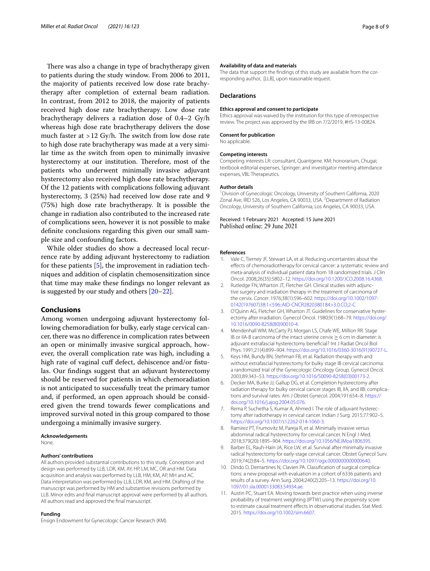There was also a change in type of brachytherapy given to patients during the study window. From 2006 to 2011, the majority of patients received low dose rate brachytherapy after completion of external beam radiation. In contrast, from 2012 to 2018, the majority of patients received high dose rate brachytherapy. Low dose rate brachytherapy delivers a radiation dose of 0.4–2 Gy/h whereas high dose rate brachytherapy delivers the dose much faster at  $>12$  Gy/h. The switch from low dose rate to high dose rate brachytherapy was made at a very similar time as the switch from open to minimally invasive hysterectomy at our institution. Therefore, most of the patients who underwent minimally invasive adjuvant hysterectomy also received high dose rate brachytherapy. Of the 12 patients with complications following adjuvant hysterectomy, 3 (25%) had received low dose rate and 9 (75%) high dose rate brachytherapy. It is possible the change in radiation also contributed to the increased rate of complications seen, however it is not possible to make defnite conclusions regarding this given our small sample size and confounding factors.

While older studies do show a decreased local recurrence rate by adding adjuvant hysterectomy to radiation for these patients [\[5](#page-7-3)], the improvement in radiation techniques and addition of cisplatin chemosensitization since that time may make these fndings no longer relevant as is suggested by our study and others [\[20](#page-8-7)[–22\]](#page-8-8).

## **Conclusions**

Among women undergoing adjuvant hysterectomy following chemoradiation for bulky, early stage cervical cancer, there was no diference in complication rates between an open or minimally invasive surgical approach, however, the overall complication rate was high, including a high rate of vaginal cuff defect, dehiscence and/or fistulas. Our fndings suggest that an adjuvant hysterectomy should be reserved for patients in which chemoradiation is not anticipated to successfully treat the primary tumor and, if performed, an open approach should be considered given the trend towards fewer complications and improved survival noted in this group compared to those undergoing a minimally invasive surgery.

### **Acknowledgements**

None.

#### **Authors' contributions**

All authors provided substantial contributions to this study. Conception and design was performed by LLB, LDR, KM, AY, HP, LM, MC, OR and HM. Data acquisition and analysis was performed by LLB, HM, KM, AP, MH and AC. Data interpretation was performed by LLB, LDR, KM, and HM. Drafting of the manuscript was performed by HM and substantive revisions performed by LLB. Minor edits and fnal manuscript approval were performed by all authors. All authors read and approved the fnal manuscript.

### **Funding**

Ensign Endowment for Gynecologic Cancer Research (KM).

#### **Availability of data and materials**

The data that support the fndings of this study are available from the corresponding author, [LLB], upon reasonable request.

### **Declarations**

#### **Ethics approval and consent to participate**

Ethics approval was waived by the institution for this type of retrospective review. The project was approved by the IRB on 7/2/2019, #HS-13-00824.

#### **Consent for publication**

No applicable.

#### **Competing interests**

Competing interests LR: consultant, Quantgene. KM: honorarium, Chugai; textbook editorial expenses, Springer; and investigator meeting attendance expenses, VBL Therapeutics.

### **Author details**

<sup>1</sup> Division of Gynecologic Oncology, University of Southern California, 2020 Zonal Ave, IRD 526, Los Angeles, CA 90033, USA. <sup>2</sup> Department of Radiation Oncology, University of Southern California, Los Angeles, CA 90033, USA.

Received: 1 February 2021 Accepted: 15 June 2021 Published online: 29 June 2021

#### **References**

- <span id="page-7-0"></span>1. Vale C, Tierney JF, Stewart LA, et al. Reducing uncertainties about the efects of chemoradiotherapy for cervical cancer: a systematic review and meta-analysis of individual patient data from 18 randomized trials. J Clin Oncol. 2008;26(35):5802–12.<https://doi.org/10.1200/JCO.2008.16.4368>.
- <span id="page-7-1"></span>2. Rutledge FN, Wharton JT, Fletcher GH. Clinical studies with adjunctive surgery and irradiation therapy in the treatment of carcinoma of the cervix. *Cancer*. 1976;38(1):596–602. [https://doi.org/10.1002/1097-](https://doi.org/10.1002/1097-0142(197607)38:1<596::AID-CNCR2820380184>3.0.CO;2-C) [0142\(197607\)38:1<596::AID-CNCR2820380184>3.0.CO;2-C](https://doi.org/10.1002/1097-0142(197607)38:1<596::AID-CNCR2820380184>3.0.CO;2-C)
- 3. O'Quinn AG, Fletcher GH, Wharton JT. Guidelines for conservative hysterectomy after irradiation. Gynecol Oncol. 1980;9(1):68–79. [https://doi.org/](https://doi.org/10.1016/0090-8258(80)90010-4) [10.1016/0090-8258\(80\)90010-4.](https://doi.org/10.1016/0090-8258(80)90010-4)
- <span id="page-7-2"></span>4. Mendenhall WM, McCarty PJ, Morgan LS, Chafe WE, Million RR. Stage IB or IIA-B carcinoma of the intact uterine cervix ≥ 6 cm in diameter: is adjuvant extrafascial hysterectomy benefcial? Int J Radiat Oncol Biol Phys. 1991;21(4):899–904. [https://doi.org/10.1016/0360-3016\(91\)90727-L.](https://doi.org/10.1016/0360-3016(91)90727-L)
- <span id="page-7-3"></span>5. Keys HM, Bundy BN, Stehman FB, et al. Radiation therapy with and without extrafascial hysterectomy for bulky stage IB cervical carcinoma: a randomized trial of the Gynecologic Oncology Group. Gynecol Oncol. 2003;89:343–53. [https://doi.org/10.1016/S0090-8258\(03\)00173-2.](https://doi.org/10.1016/S0090-8258(03)00173-2)
- 6. Decker MA, Burke JJ, Gallup DG, et al. Completion hysterectomy after radiation therapy for bulky cervical cancer stages IB, IIA, and IIB: complications and survival rates. Am J Obstet Gynecol. 2004;191:654–8. [https://](https://doi.org/10.1016/j.ajog.2004.05.076) [doi.org/10.1016/j.ajog.2004.05.076](https://doi.org/10.1016/j.ajog.2004.05.076).
- <span id="page-7-4"></span>7. Rema P, Suchetha S, Kumar A, Ahmed I. The role of adjuvant hysterectomy after radiotherapy in cervical cancer. Indian J Surg. 2015;77:902–5. [https://doi.org/10.1007/s12262-014-1060-3.](https://doi.org/10.1007/s12262-014-1060-3)
- <span id="page-7-5"></span>8. Ramirez PT, Frumovitz M, Pareja R, et al. Minimally invasive versus abdominal radical hysterectomy for cervical cancer. N Engl J Med. 2018;379(20):1895–904. <https://doi.org/10.1056/NEJMoa1806395>.
- <span id="page-7-6"></span>9. Barber EL, Rauh-Hain JA, Rice LW, et al. Survival after minimally invasive radical hysterectomy for early-stage cervical cancer. Obstet Gynecol Surv. 2019;74(2):84–5. [https://doi.org/10.1097/ogx.0000000000000640.](https://doi.org/10.1097/ogx.0000000000000640)
- <span id="page-7-7"></span>10. Dindo D, Demartines N, Clavien PA. Classifcation of surgical complications: a new proposal with evaluation in a cohort of 6336 patients and results of a survey. Ann Surg. 2004;240(2):205–13. [https://doi.org/10.](https://doi.org/10.1097/01.sla.0000133083.54934.ae) [1097/01.sla.0000133083.54934.ae](https://doi.org/10.1097/01.sla.0000133083.54934.ae).
- <span id="page-7-8"></span>11. Austin PC, Stuart EA. Moving towards best practice when using inverse probability of treatment weighting (IPTW) using the propensity score to estimate causal treatment effects in observational studies. Stat Med. 2015. [https://doi.org/10.1002/sim.6607.](https://doi.org/10.1002/sim.6607)